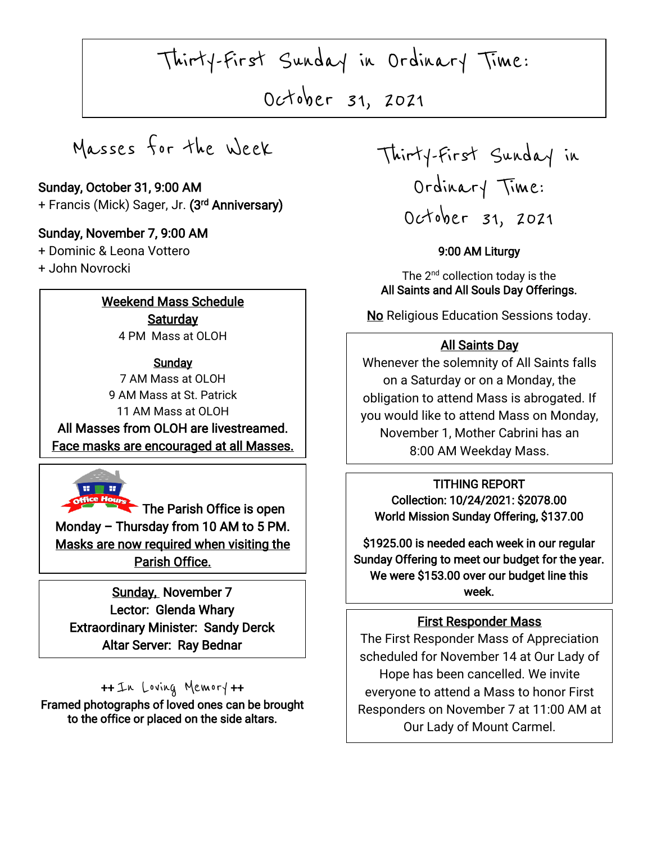Thirty-First Sunday in Ordinary Time:

October 31, 2021

 $\overline{\phantom{a}}$ 

Masses for the Week

### Sunday, October 31, 9:00 AM + Francis (Mick) Sager, Jr. **(3<sup>rd</sup> Anniversary)**

### Sunday, November 7, 9:00 AM

+ Dominic & Leona Vottero

+ John Novrocki

I

I

### Weekend Mass Schedule **Saturday**

4 PM Mass at OLOH

### **Sunday**

7 AM Mass at OLOH 9 AM Mass at St. Patrick 11 AM Mass at OLOH

The Face masks are encouraged at all Masses. All Masses from OLOH are livestreamed.



 $\blacksquare$  The Parish Office is open Monday – Thursday from 10 AM to 5 PM. Masks are now required when visiting the Parish Office.

 Extraordinary Minister: Sandy Derck  $\overline{a}$ Sunday, November 7 Lector: Glenda Whary Altar Server: Ray Bednar

### ++ In Loving Memory ++

Framed photographs of loved ones can be brought to the office or placed on the side altars. Ī

Thirty-First Sunday in Ordinary Time: October 31, 2021

 $\overline{\phantom{a}}$ 

### 9:00 AM Liturgy

The 2<sup>nd</sup> collection today is the All Saints and All Souls Day Offerings.

No Religious Education Sessions today.

### All Saints Day

Whenever the solemnity of All Saints falls on a Saturday or on a Monday, the obligation to attend Mass is abrogated. If you would like to attend Mass on Monday, November 1, Mother Cabrini has an 8:00 AM Weekday Mass.

#### TITHING REPORT

Collection: 10/24/2021: \$2078.00 World Mission Sunday Offering, \$137.00

\$1925.00 is needed each week in our regular Sunday Offering to meet our budget for the year. We were \$153.00 over our budget line this week.

### First Responder Mass

The First Responder Mass of Appreciation scheduled for November 14 at Our Lady of Hope has been cancelled. We invite everyone to attend a Mass to honor First Responders on November 7 at 11:00 AM at Our Lady of Mount Carmel.